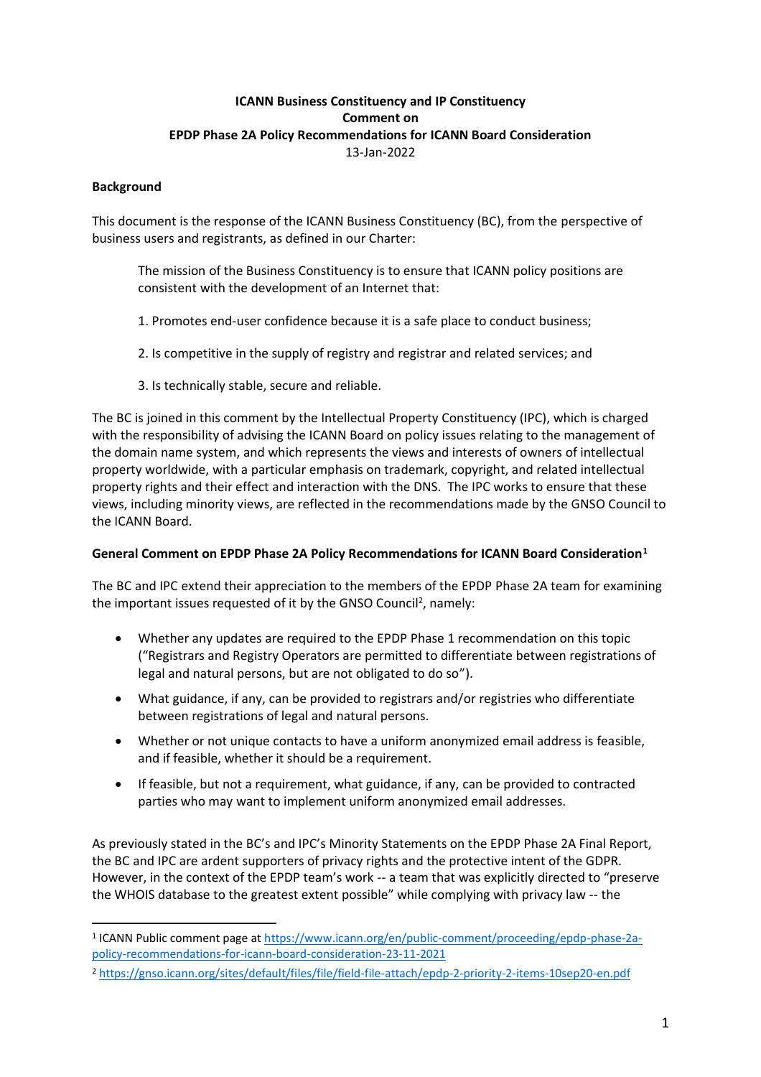# **ICANN Business Constituency and IP Constituency Comment on EPDP Phase 2A Policy Recommendations for ICANN Board Consideration** 13-Jan-2022

### **Background**

This document is the response of the ICANN Business Constituency (BC), from the perspective of business users and registrants, as defined in our Charter:

The mission of the Business Constituency is to ensure that ICANN policy positions are consistent with the development of an Internet that:

- 1. Promotes end-user confidence because it is a safe place to conduct business;
- 2. Is competitive in the supply of registry and registrar and related services; and
- 3. Is technically stable, secure and reliable.

The BC is joined in this comment by the Intellectual Property Constituency (IPC), which is charged with the responsibility of advising the ICANN Board on policy issues relating to the management of the domain name system, and which represents the views and interests of owners of intellectual property worldwide, with a particular emphasis on trademark, copyright, and related intellectual property rights and their effect and interaction with the DNS. The IPC works to ensure that these views, including minority views, are reflected in the recommendations made by the GNSO Council to the ICANN Board.

### **General Comment on EPDP Phase 2A Policy Recommendations for ICANN Board Consideration<sup>1</sup>**

The BC and IPC extend their appreciation to the members of the EPDP Phase 2A team for examining the important issues requested of it by the GNSO Council<sup>2</sup>, namely:

- Whether any updates are required to the EPDP Phase 1 recommendation on this topic ("Registrars and Registry Operators are permitted to differentiate between registrations of legal and natural persons, but are not obligated to do so").
- What guidance, if any, can be provided to registrars and/or registries who differentiate between registrations of legal and natural persons.
- Whether or not unique contacts to have a uniform anonymized email address is feasible, and if feasible, whether it should be a requirement.
- If feasible, but not a requirement, what guidance, if any, can be provided to contracted parties who may want to implement uniform anonymized email addresses.

As previously stated in the BC's and IPC's Minority Statements on the EPDP Phase 2A Final Report, the BC and IPC are ardent supporters of privacy rights and the protective intent of the GDPR. However, in the context of the EPDP team's work -- a team that was explicitly directed to "preserve the WHOIS database to the greatest extent possible" while complying with privacy law -- the

<sup>&</sup>lt;sup>1</sup> ICANN Public comment page at [https://www.icann.org/en/public-comment/proceeding/epdp-phase-2a](https://www.icann.org/en/public-comment/proceeding/epdp-phase-2a-policy-recommendations-for-icann-board-consideration-23-11-2021)[policy-recommendations-for-icann-board-consideration-23-11-2021](https://www.icann.org/en/public-comment/proceeding/epdp-phase-2a-policy-recommendations-for-icann-board-consideration-23-11-2021)

<sup>2</sup> <https://gnso.icann.org/sites/default/files/file/field-file-attach/epdp-2-priority-2-items-10sep20-en.pdf>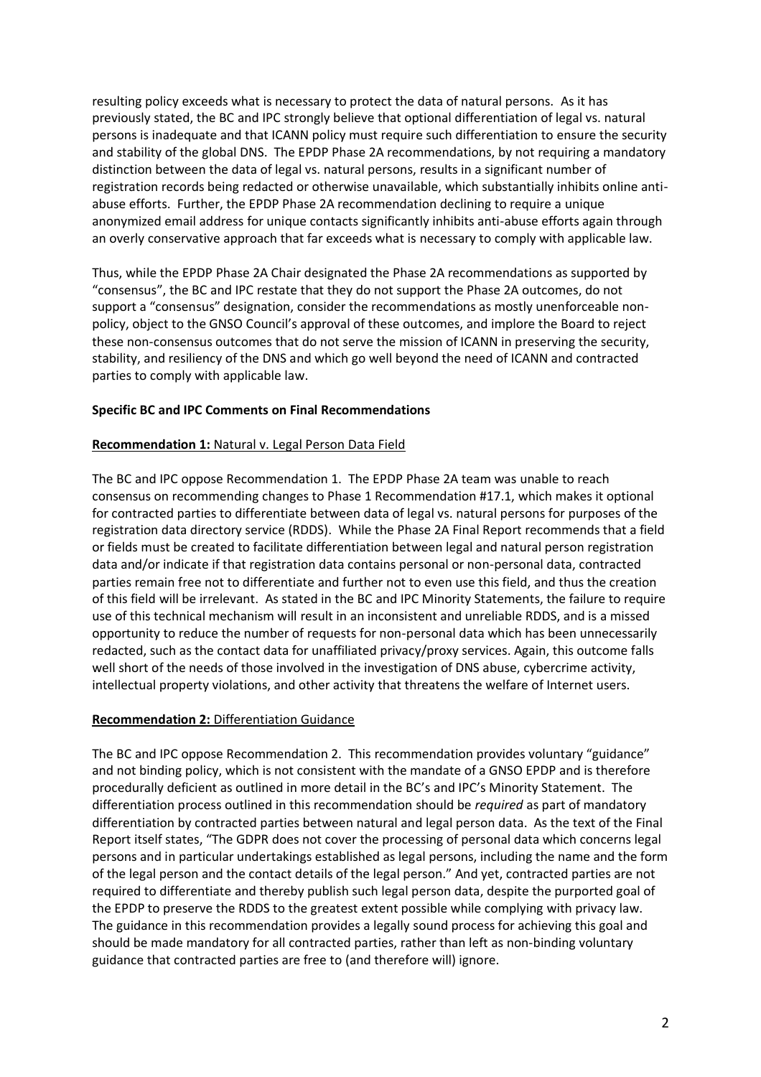resulting policy exceeds what is necessary to protect the data of natural persons. As it has previously stated, the BC and IPC strongly believe that optional differentiation of legal vs. natural persons is inadequate and that ICANN policy must require such differentiation to ensure the security and stability of the global DNS. The EPDP Phase 2A recommendations, by not requiring a mandatory distinction between the data of legal vs. natural persons, results in a significant number of registration records being redacted or otherwise unavailable, which substantially inhibits online antiabuse efforts. Further, the EPDP Phase 2A recommendation declining to require a unique anonymized email address for unique contacts significantly inhibits anti-abuse efforts again through an overly conservative approach that far exceeds what is necessary to comply with applicable law.

Thus, while the EPDP Phase 2A Chair designated the Phase 2A recommendations as supported by "consensus", the BC and IPC restate that they do not support the Phase 2A outcomes, do not support a "consensus" designation, consider the recommendations as mostly unenforceable nonpolicy, object to the GNSO Council's approval of these outcomes, and implore the Board to reject these non-consensus outcomes that do not serve the mission of ICANN in preserving the security, stability, and resiliency of the DNS and which go well beyond the need of ICANN and contracted parties to comply with applicable law.

### **Specific BC and IPC Comments on Final Recommendations**

### **Recommendation 1:** Natural v. Legal Person Data Field

The BC and IPC oppose Recommendation 1. The EPDP Phase 2A team was unable to reach consensus on recommending changes to Phase 1 Recommendation #17.1, which makes it optional for contracted parties to differentiate between data of legal vs. natural persons for purposes of the registration data directory service (RDDS). While the Phase 2A Final Report recommends that a field or fields must be created to facilitate differentiation between legal and natural person registration data and/or indicate if that registration data contains personal or non-personal data, contracted parties remain free not to differentiate and further not to even use this field, and thus the creation of this field will be irrelevant. As stated in the BC and IPC Minority Statements, the failure to require use of this technical mechanism will result in an inconsistent and unreliable RDDS, and is a missed opportunity to reduce the number of requests for non-personal data which has been unnecessarily redacted, such as the contact data for unaffiliated privacy/proxy services. Again, this outcome falls well short of the needs of those involved in the investigation of DNS abuse, cybercrime activity, intellectual property violations, and other activity that threatens the welfare of Internet users.

### **Recommendation 2: Differentiation Guidance**

The BC and IPC oppose Recommendation 2. This recommendation provides voluntary "guidance" and not binding policy, which is not consistent with the mandate of a GNSO EPDP and is therefore procedurally deficient as outlined in more detail in the BC's and IPC's Minority Statement. The differentiation process outlined in this recommendation should be *required* as part of mandatory differentiation by contracted parties between natural and legal person data. As the text of the Final Report itself states, "The GDPR does not cover the processing of personal data which concerns legal persons and in particular undertakings established as legal persons, including the name and the form of the legal person and the contact details of the legal person." And yet, contracted parties are not required to differentiate and thereby publish such legal person data, despite the purported goal of the EPDP to preserve the RDDS to the greatest extent possible while complying with privacy law. The guidance in this recommendation provides a legally sound process for achieving this goal and should be made mandatory for all contracted parties, rather than left as non-binding voluntary guidance that contracted parties are free to (and therefore will) ignore.